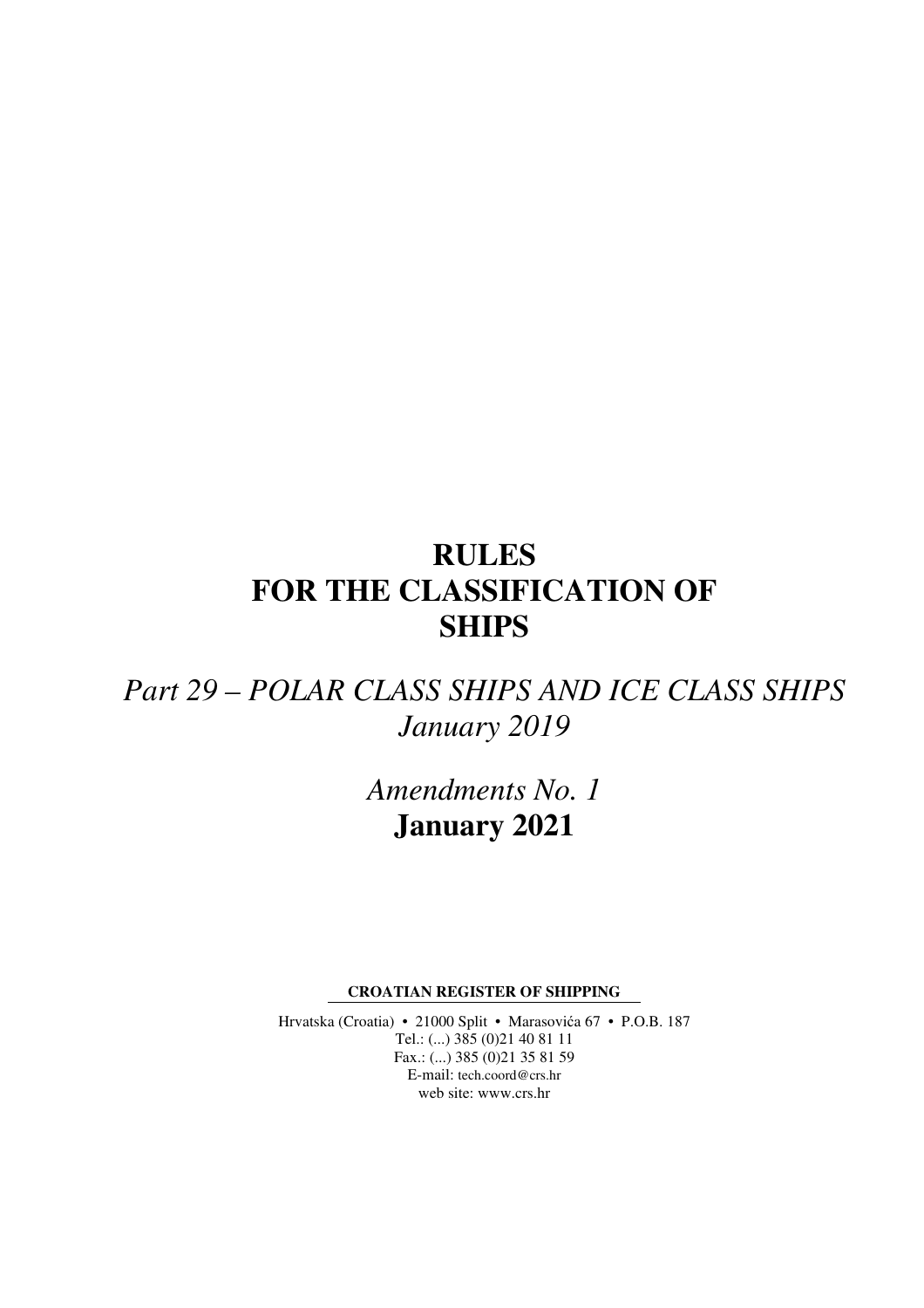# **RULES FOR THE CLASSIFICATION OF SHIPS**

# *Part 29 – POLAR CLASS SHIPS AND ICE CLASS SHIPS January 2019*

*Amendments No. 1*  **January 2021** 

**CROATIAN REGISTER OF SHIPPING** 

Hrvatska (Croatia) • 21000 Split • Marasovića 67 • P.O.B. 187 Tel.: (...) 385 (0)21 40 81 11 Fax.: (...) 385 (0)21 35 81 59 E-mail: tech.coord@crs.hr web site: www.crs.hr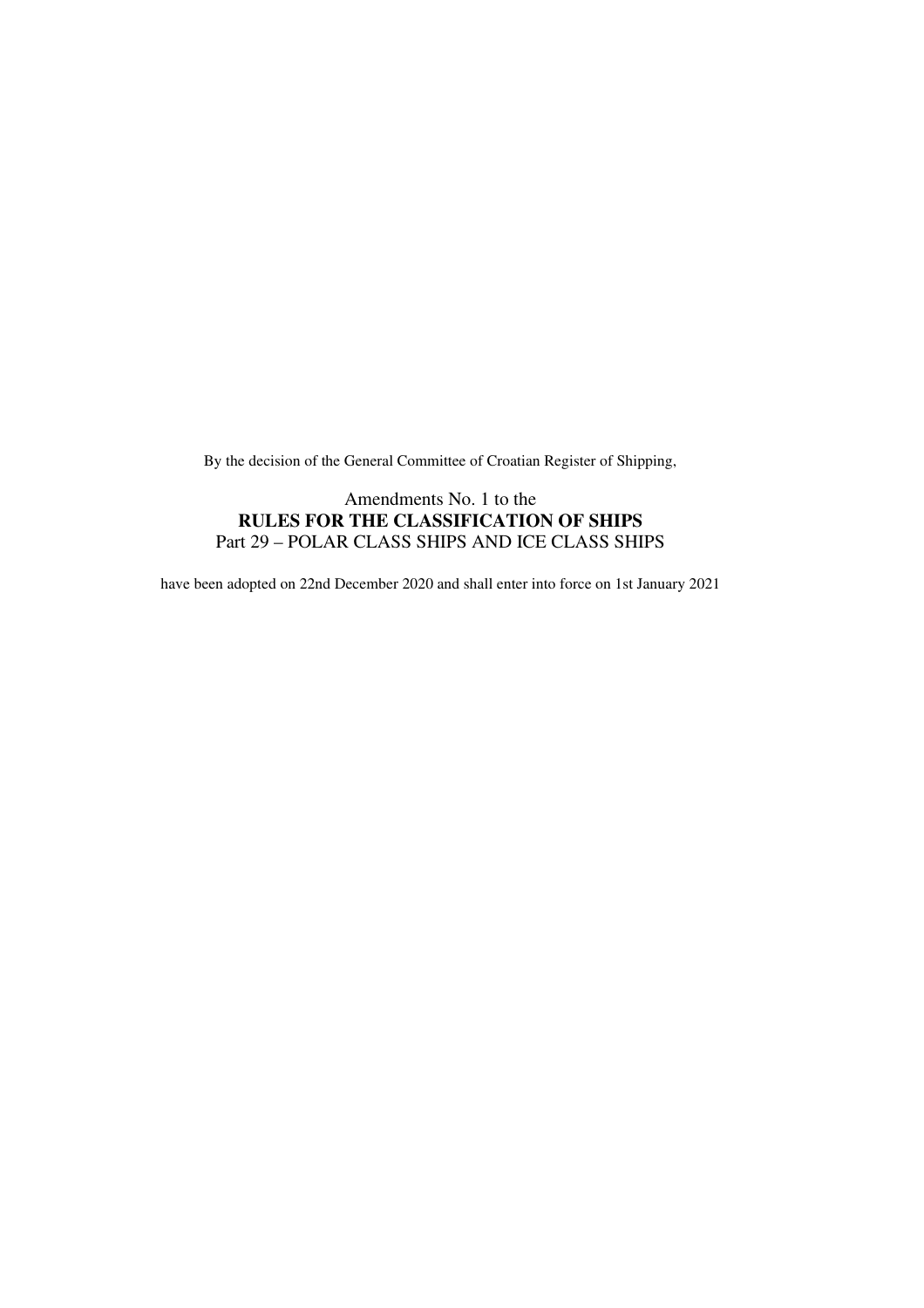By the decision of the General Committee of Croatian Register of Shipping,

#### Amendments No. 1 to the **RULES FOR THE CLASSIFICATION OF SHIPS**  Part 29 – POLAR CLASS SHIPS AND ICE CLASS SHIPS

have been adopted on 22nd December 2020 and shall enter into force on 1st January 2021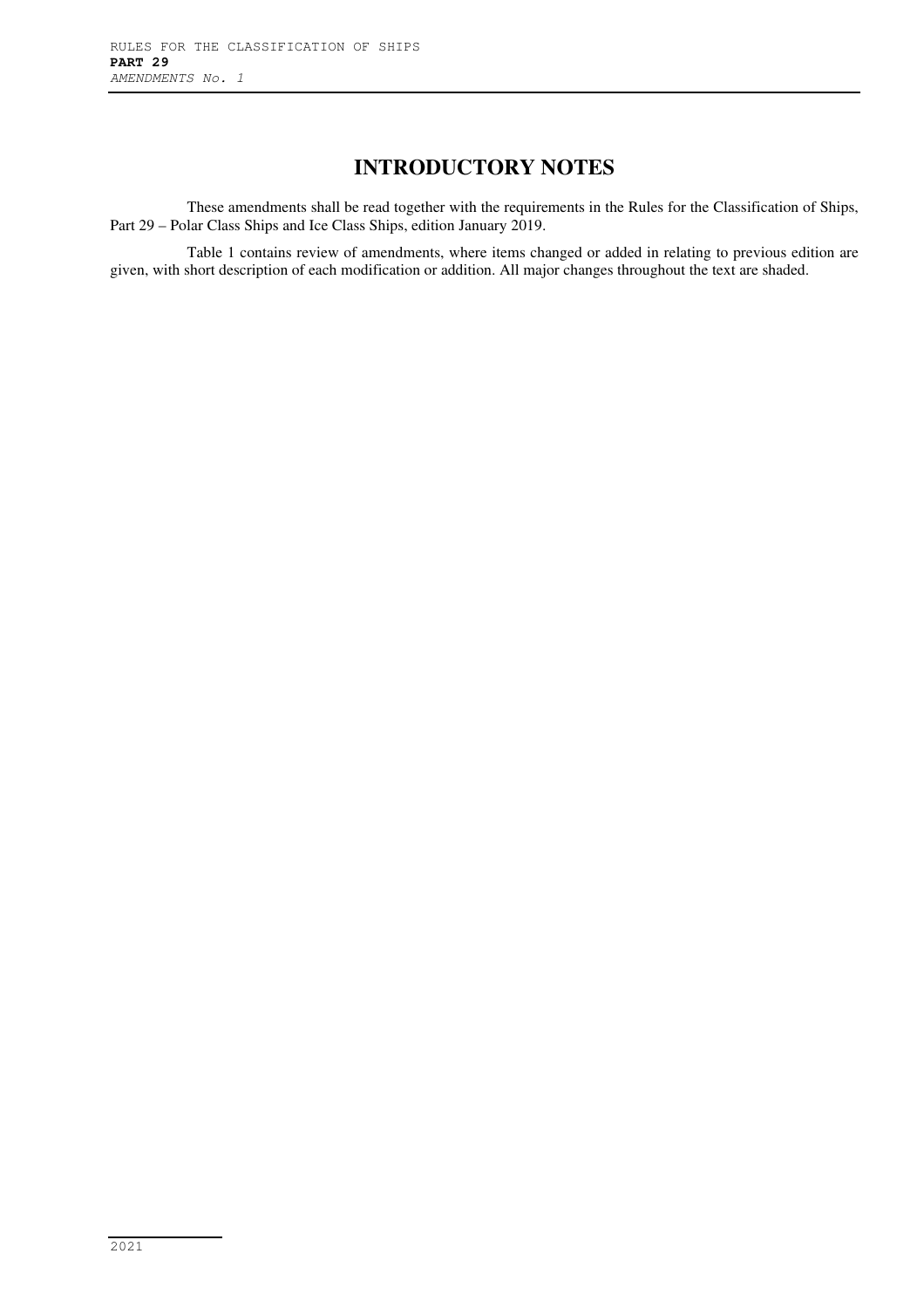## **INTRODUCTORY NOTES**

These amendments shall be read together with the requirements in the Rules for the Classification of Ships, Part 29 – Polar Class Ships and Ice Class Ships, edition January 2019.

Table 1 contains review of amendments, where items changed or added in relating to previous edition are given, with short description of each modification or addition. All major changes throughout the text are shaded.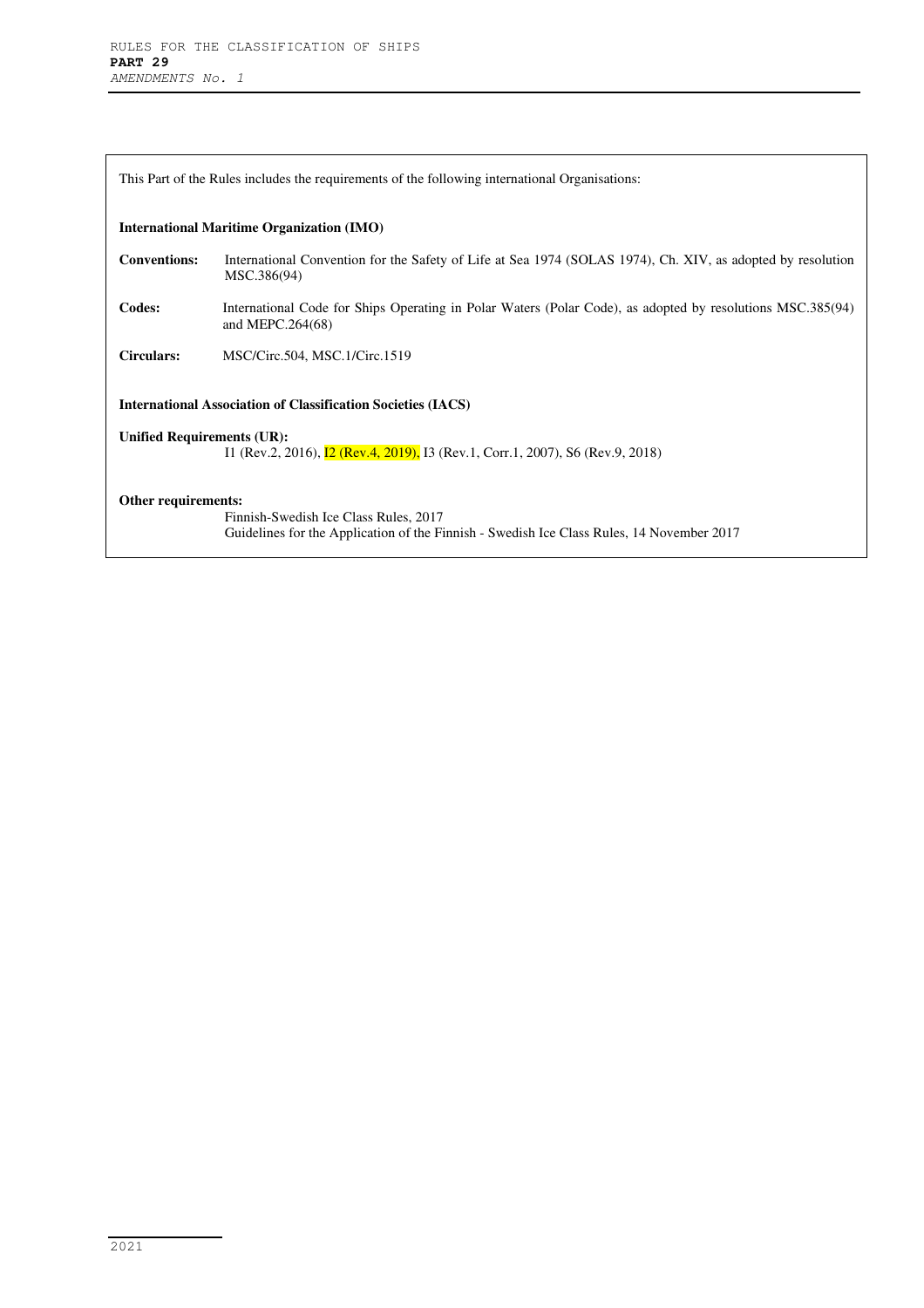| This Part of the Rules includes the requirements of the following international Organisations:                                             |                                                                                                                                    |  |  |  |  |  |  |
|--------------------------------------------------------------------------------------------------------------------------------------------|------------------------------------------------------------------------------------------------------------------------------------|--|--|--|--|--|--|
|                                                                                                                                            | <b>International Maritime Organization (IMO)</b>                                                                                   |  |  |  |  |  |  |
| <b>Conventions:</b>                                                                                                                        | International Convention for the Safety of Life at Sea 1974 (SOLAS 1974), Ch. XIV, as adopted by resolution<br>MSC.386(94)         |  |  |  |  |  |  |
| Codes:                                                                                                                                     | International Code for Ships Operating in Polar Waters (Polar Code), as adopted by resolutions MSC.385(94)<br>and MEPC.264(68)     |  |  |  |  |  |  |
| Circulars:                                                                                                                                 | MSC/Circ.504, MSC.1/Circ.1519                                                                                                      |  |  |  |  |  |  |
| <b>International Association of Classification Societies (IACS)</b>                                                                        |                                                                                                                                    |  |  |  |  |  |  |
| <b>Unified Requirements (UR):</b><br>I1 (Rev.2, 2016), <b>I2 (Rev.4, 2019)</b> , <b>I3 (Rev.1, Corr.1, 2007)</b> , <b>S6 (Rev.9, 2018)</b> |                                                                                                                                    |  |  |  |  |  |  |
| Other requirements:                                                                                                                        | Finnish-Swedish Ice Class Rules, 2017<br>Guidelines for the Application of the Finnish - Swedish Ice Class Rules, 14 November 2017 |  |  |  |  |  |  |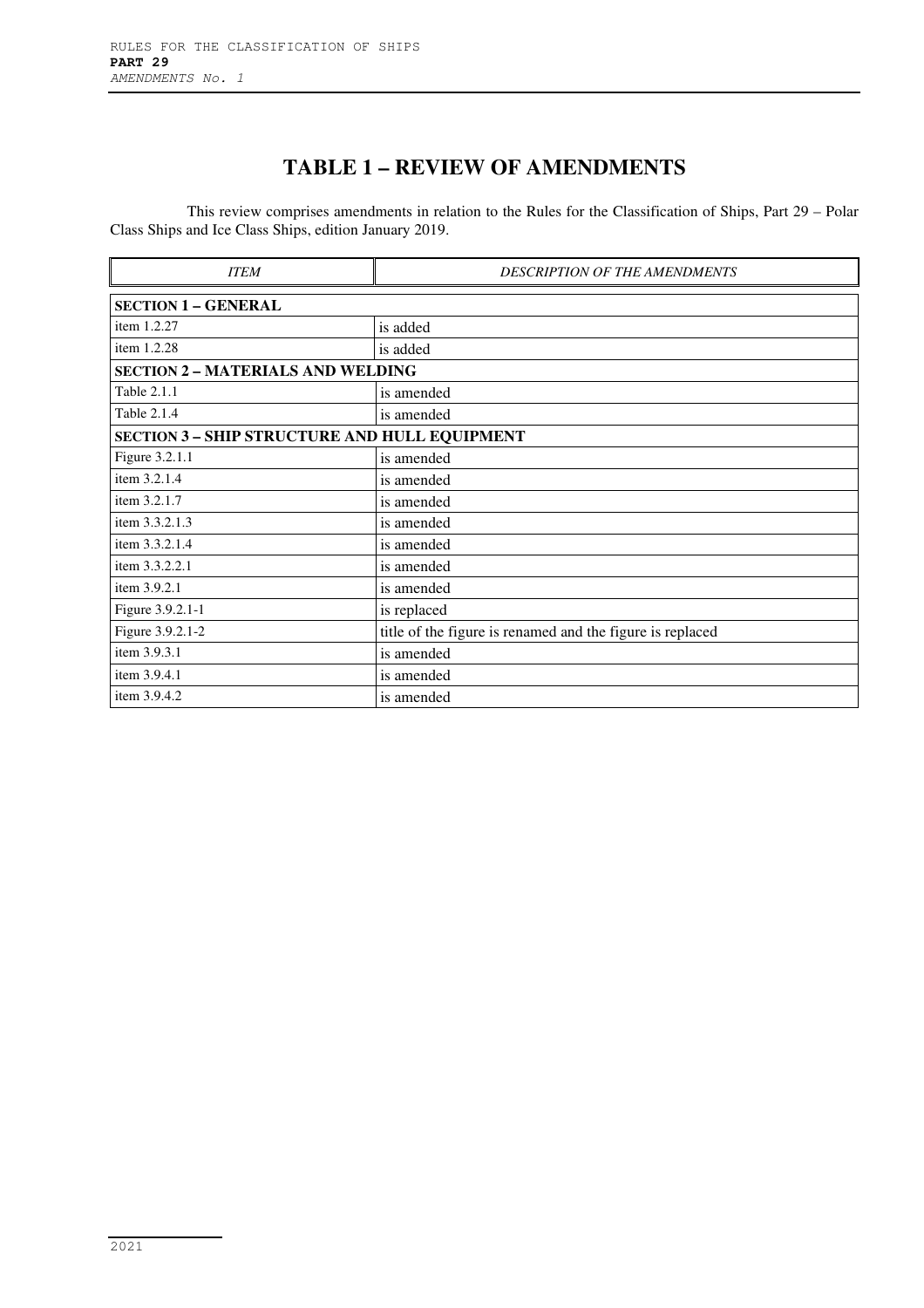# **TABLE 1 – REVIEW OF AMENDMENTS**

This review comprises amendments in relation to the Rules for the Classification of Ships, Part 29 – Polar Class Ships and Ice Class Ships, edition January 2019.

| <b>ITEM</b>                                          | <b>DESCRIPTION OF THE AMENDMENTS</b>                      |  |  |  |  |  |  |
|------------------------------------------------------|-----------------------------------------------------------|--|--|--|--|--|--|
| <b>SECTION 1 - GENERAL</b>                           |                                                           |  |  |  |  |  |  |
| item 1.2.27                                          | is added                                                  |  |  |  |  |  |  |
| item 1.2.28                                          | is added                                                  |  |  |  |  |  |  |
| <b>SECTION 2 - MATERIALS AND WELDING</b>             |                                                           |  |  |  |  |  |  |
| <b>Table 2.1.1</b>                                   | is amended                                                |  |  |  |  |  |  |
| Table 2.1.4                                          | is amended                                                |  |  |  |  |  |  |
| <b>SECTION 3 - SHIP STRUCTURE AND HULL EQUIPMENT</b> |                                                           |  |  |  |  |  |  |
| Figure 3.2.1.1                                       | is amended                                                |  |  |  |  |  |  |
| item 3.2.1.4                                         | is amended                                                |  |  |  |  |  |  |
| item 3.2.1.7                                         | is amended                                                |  |  |  |  |  |  |
| item 3.3.2.1.3                                       | is amended                                                |  |  |  |  |  |  |
| item 3.3.2.1.4                                       | is amended                                                |  |  |  |  |  |  |
| item 3.3.2.2.1                                       | is amended                                                |  |  |  |  |  |  |
| item 3.9.2.1                                         | is amended                                                |  |  |  |  |  |  |
| Figure 3.9.2.1-1                                     | is replaced                                               |  |  |  |  |  |  |
| Figure 3.9.2.1-2                                     | title of the figure is renamed and the figure is replaced |  |  |  |  |  |  |
| item 3.9.3.1                                         | is amended                                                |  |  |  |  |  |  |
| item 3.9.4.1                                         | is amended                                                |  |  |  |  |  |  |
| item 3.9.4.2                                         | is amended                                                |  |  |  |  |  |  |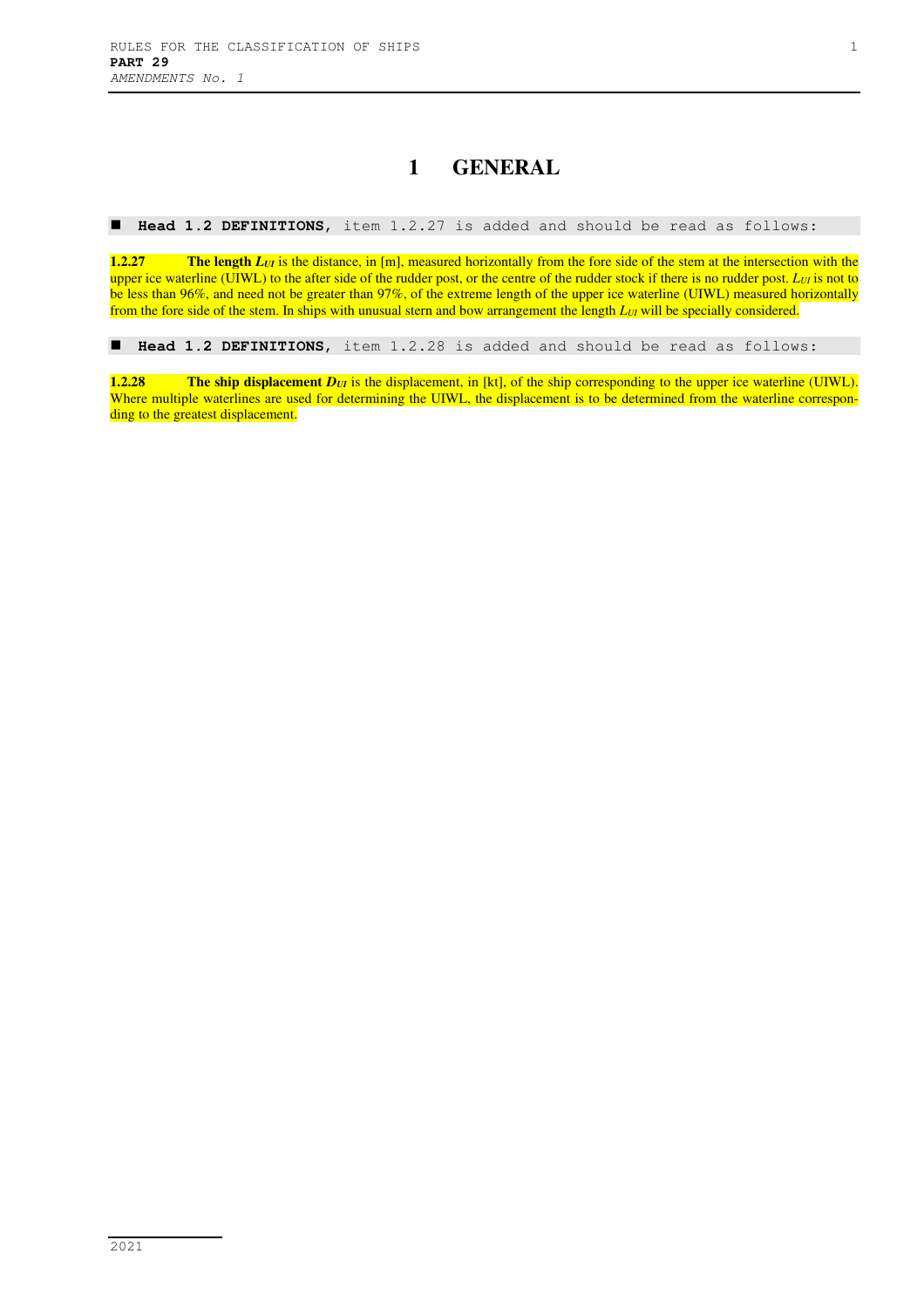### **1 GENERAL**

**Head 1.2 DEFINITIONS**, item 1.2.27 is added and should be read as follows:

**1.2.27 The length** *L<sub>UI</sub>* **is the distance, in [m], measured horizontally from the fore side of the stem at the intersection with the** upper ice waterline (UIWL) to the after side of the rudder post, or the centre of the rudder stock if there is no rudder post. *LUI* is not to be less than 96%, and need not be greater than 97%, of the extreme length of the upper ice waterline (UIWL) measured horizontally from the fore side of the stem. In ships with unusual stern and bow arrangement the length *LUI* will be specially considered.

**Head 1.2 DEFINITIONS**, item 1.2.28 is added and should be read as follows:

**1.2.28 The ship displacement** *D<sub>UI</sub>* is the displacement, in [kt], of the ship corresponding to the upper ice waterline (UIWL). Where multiple waterlines are used for determining the UIWL, the displacement is to be determined from the waterline corresponding to the greatest displacement.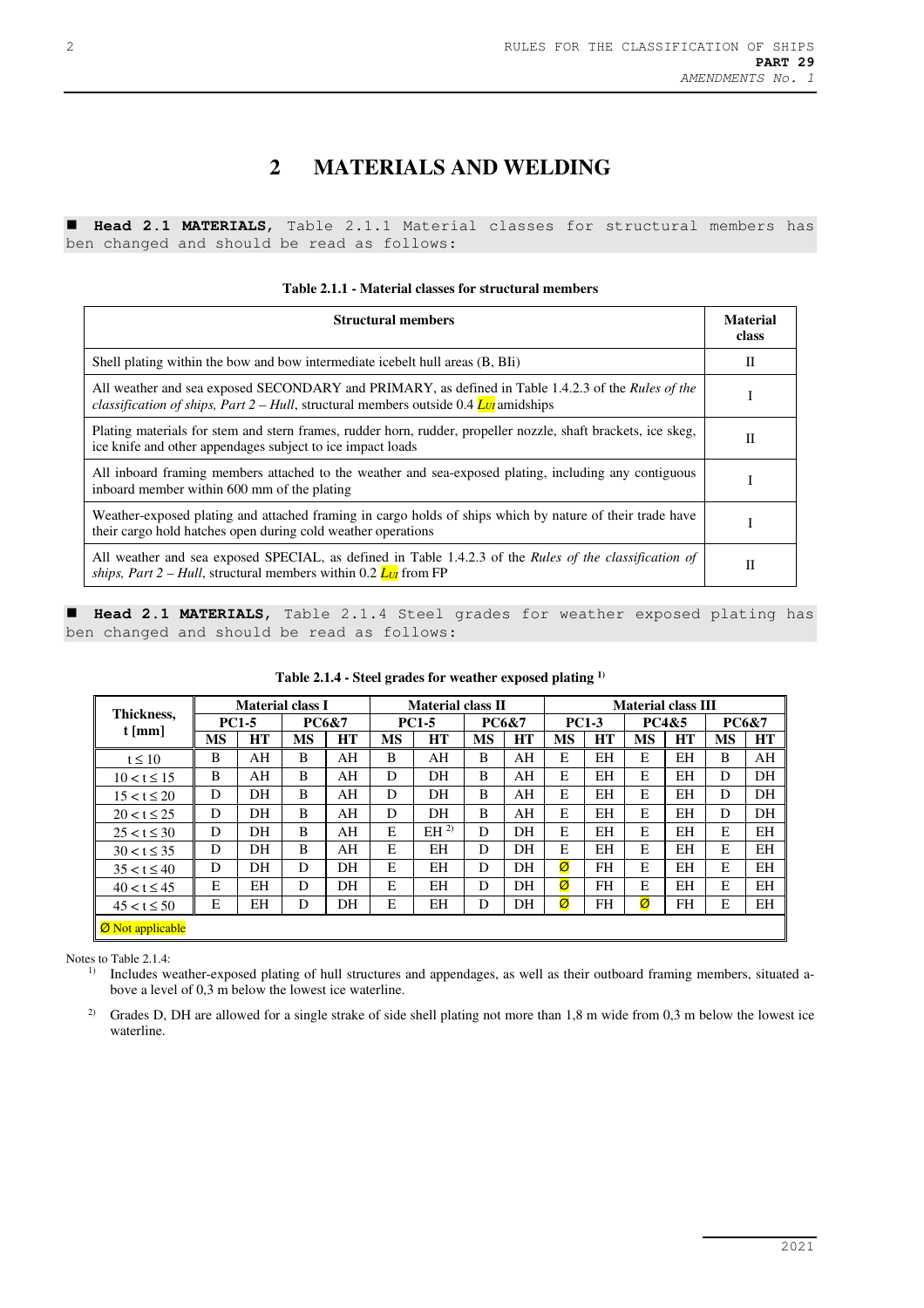# **2 MATERIALS AND WELDING**

 **Head 2.1 MATERIALS**, Table 2.1.1 Material classes for structural members has ben changed and should be read as follows:

|  | Table 2.1.1 - Material classes for structural members |  |
|--|-------------------------------------------------------|--|
|--|-------------------------------------------------------|--|

| <b>Structural members</b>                                                                                                                                                                                         |   |  |  |  |  |  |  |
|-------------------------------------------------------------------------------------------------------------------------------------------------------------------------------------------------------------------|---|--|--|--|--|--|--|
| Shell plating within the bow and bow intermediate icebelt hull areas (B, BIi)                                                                                                                                     | П |  |  |  |  |  |  |
| All weather and sea exposed SECONDARY and PRIMARY, as defined in Table 1.4.2.3 of the Rules of the<br><i>classification of ships, Part 2 – Hull, structural members outside 0.4 <math>L_{Ul}</math> amidships</i> |   |  |  |  |  |  |  |
| Plating materials for stem and stern frames, rudder horn, rudder, propeller nozzle, shaft brackets, ice skeg,<br>ice knife and other appendages subject to ice impact loads                                       |   |  |  |  |  |  |  |
| All inboard framing members attached to the weather and sea-exposed plating, including any contiguous<br>inboard member within 600 mm of the plating                                                              |   |  |  |  |  |  |  |
| Weather-exposed plating and attached framing in cargo holds of ships which by nature of their trade have<br>their cargo hold hatches open during cold weather operations                                          |   |  |  |  |  |  |  |
| All weather and sea exposed SPECIAL, as defined in Table 1.4.2.3 of the Rules of the classification of<br><i>ships, Part 2 – Hull, structural members within 0.2 <math>L_{U}</math> from FP</i>                   | H |  |  |  |  |  |  |

 **Head 2.1 MATERIALS**, Table 2.1.4 Steel grades for weather exposed plating has ben changed and should be read as follows:

| Thickness,<br>$t$ [mm]  | <b>Material class I</b> |    |                  | <b>Material class II</b> |              |                 |                  | <b>Material class III</b> |              |           |                  |           |                  |           |
|-------------------------|-------------------------|----|------------------|--------------------------|--------------|-----------------|------------------|---------------------------|--------------|-----------|------------------|-----------|------------------|-----------|
|                         | <b>PC1-5</b>            |    | <b>PC6&amp;7</b> |                          | <b>PC1-5</b> |                 | <b>PC6&amp;7</b> |                           | <b>PC1-3</b> |           | <b>PC4&amp;5</b> |           | <b>PC6&amp;7</b> |           |
|                         | <b>MS</b>               | HT | <b>MS</b>        | <b>HT</b>                | <b>MS</b>    | <b>HT</b>       | <b>MS</b>        | <b>HT</b>                 | <b>MS</b>    | <b>HT</b> | <b>MS</b>        | <b>HT</b> | <b>MS</b>        | <b>HT</b> |
| $t \leq 10$             | B                       | AH | B                | AH                       | B            | AH              | B                | AH                        | E            | ΕH        | E                | ΕH        | B                | AH        |
| $10 < t \le 15$         | B                       | AH | B                | AH                       | D            | DH              | B                | AH                        | E            | EН        | E                | ΕH        | D                | DH        |
| $15 < t \le 20$         | D                       | DН | B                | AH                       | D            | DH.             | B                | AH                        | E            | ΕH        | E                | ΕH        | D                | DH        |
| $20 < t \le 25$         | D                       | DH | B                | AH                       | D            | DH              | B                | AH                        | E            | EН        | E                | ΕH        | D                | DH        |
| $25 < t \leq 30$        | D                       | DH | B                | AH                       | E            | EH <sup>2</sup> | D                | DH                        | E            | EН        | E                | ΕH        | E                | ΕH        |
| $30 < t \leq 35$        | D                       | DH | B                | AH                       | E            | EΗ              | D                | DH                        | E            | EН        | E                | EH        | E                | <b>EH</b> |
| $35 < t \leq 40$        | D                       | DH | D                | DH                       | E            | ΕH              | D                | DH                        | Ø            | FH        | E                | ΕH        | E                | EH        |
| $40 < t \le 45$         | E                       | EН | D                | DH                       | E            | ΕH              | D                | DH                        | Ø            | FH        | E                | ΕH        | E                | EН        |
| $45 < t \le 50$         | E                       | EН | D                | DH                       | Е            | EΗ              | D                | DH                        | Ø            | FH        | Ø                | FH        | E                | ΕH        |
| <b>Ø</b> Not applicable |                         |    |                  |                          |              |                 |                  |                           |              |           |                  |           |                  |           |

#### **Table 2.1.4 - Steel grades for weather exposed plating 1)**

Notes to Table 2.1.4:

<sup>1)</sup> Includes weather-exposed plating of hull structures and appendages, as well as their outboard framing members, situated above a level of 0,3 m below the lowest ice waterline.

<sup>2)</sup> Grades D, DH are allowed for a single strake of side shell plating not more than 1,8 m wide from 0,3 m below the lowest ice waterline.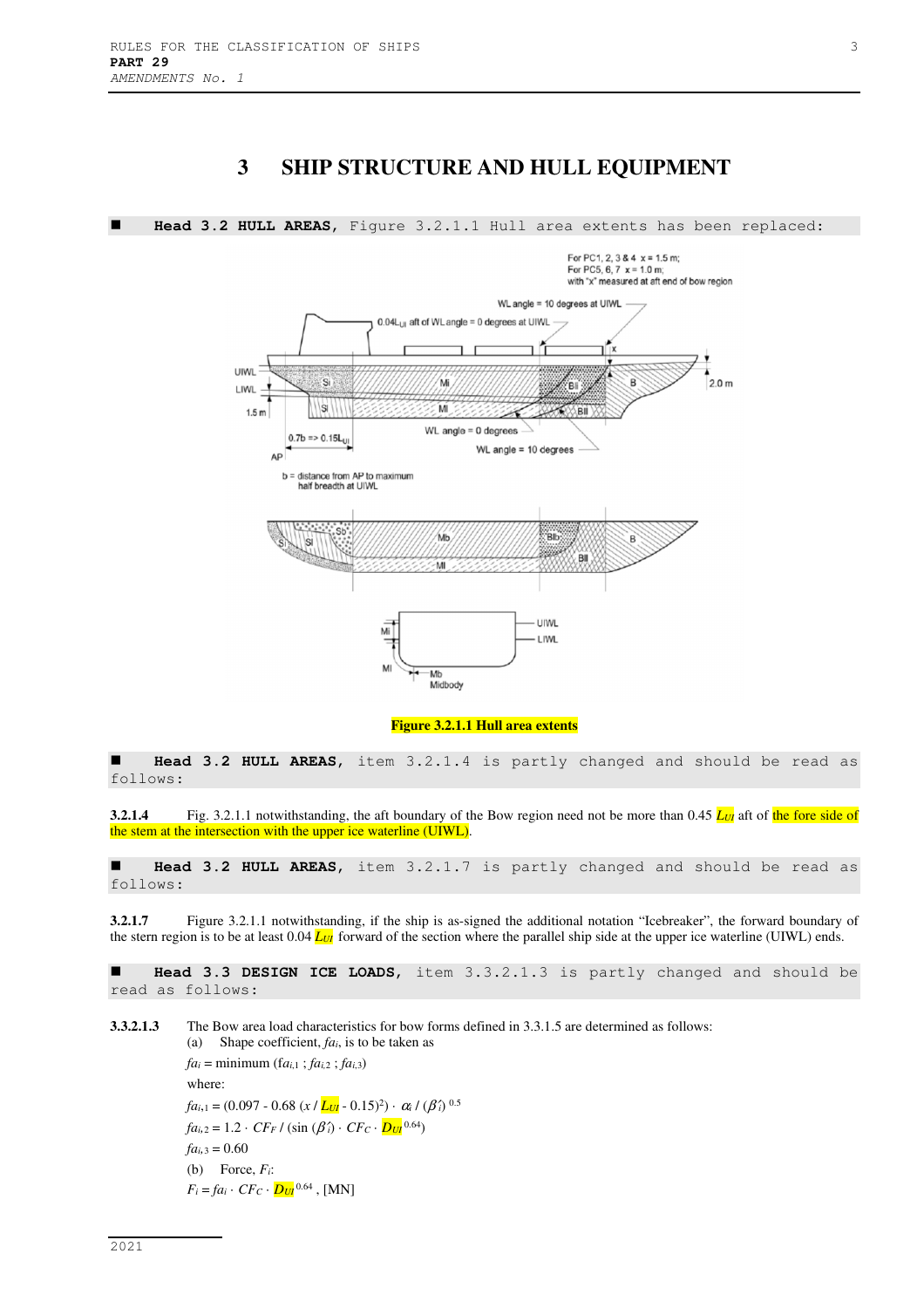### **3 SHIP STRUCTURE AND HULL EQUIPMENT**



**Figure 3.2.1.1 Hull area extents** 

 **Head 3.2 HULL AREAS**, item 3.2.1.4 is partly changed and should be read as follows:

**3.2.1.4** Fig. 3.2.1.1 notwithstanding, the aft boundary of the Bow region need not be more than 0.45  $L_{U}$  aft of the fore side of the stem at the intersection with the upper ice waterline (UIWL).

 **Head 3.2 HULL AREAS**, item 3.2.1.7 is partly changed and should be read as follows:

**3.2.1.7** Figure 3.2.1.1 notwithstanding, if the ship is as-signed the additional notation "Icebreaker", the forward boundary of the stern region is to be at least  $0.04$  *L<sub>UI</sub>* forward of the section where the parallel ship side at the upper ice waterline (UIWL) ends.

 **Head 3.3 DESIGN ICE LOADS**, item 3.3.2.1.3 is partly changed and should be read as follows:

**3.3.2.1.3** The Bow area load characteristics for bow forms defined in 3.3.1.5 are determined as follows: (a) Shape coefficient, *fai*, is to be taken as

> $fa_i = \text{minimum} (fa_{i,1} : fa_{i,2} : fa_{i,3})$ where: *fai*,1 = (0.097 - 0.68 (*x* / *LUI* - 0.15)<sup>2</sup> ) · <sup>α</sup>*i* / (β′*i*) 0.5  $fa_{i,2} = 1.2 \cdot CF_F / (\sin{(\beta'_i)} \cdot CF_C \cdot D_U)^{0.64}$  $fa_{i,3} = 0.60$ (b) Force,  $F_i$ :  $F_i = fa_i \cdot C F_C \cdot D u^{0.64}$ , [MN]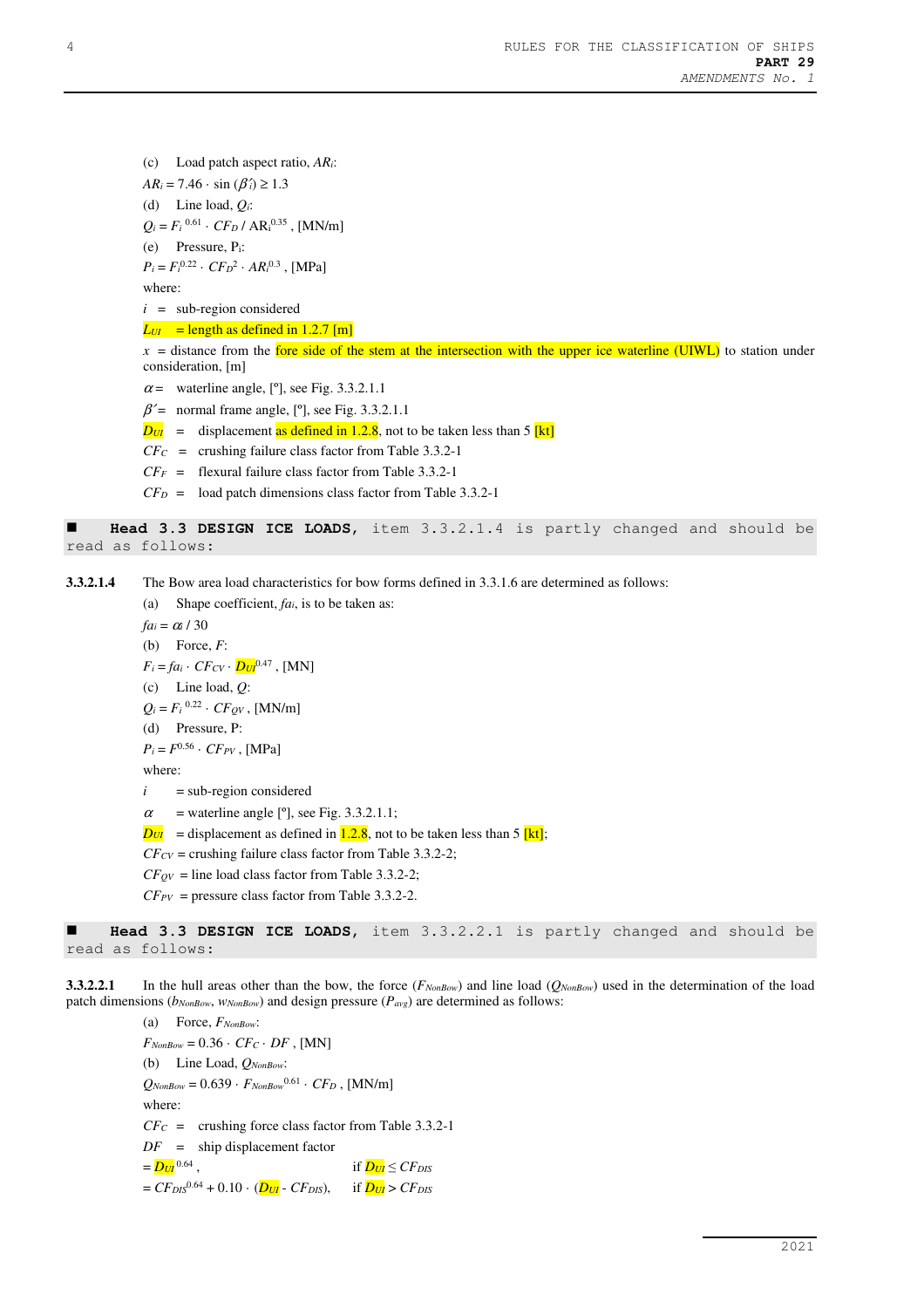(c) Load patch aspect ratio, *ARi*:  $AR_i = 7.46 \cdot \sin(\beta_i) \ge 1.3$ (d) Line load, *Qi*:  $Q_i = F_i^{0.61} \cdot C F_D / AR_i^{0.35}$ , [MN/m] (e) Pressure, Pi:  $P_i = F_i^{0.22} \cdot C F_D^2 \cdot AR_i^{0.3}$ , [MPa] where:  $i =$ sub-region considered

 $L_{UI}$  = length as defined in 1.2.7 [m]

 $x =$  distance from the fore side of the stem at the intersection with the upper ice waterline (UIWL) to station under consideration, [m]

- $\alpha$  = waterline angle, [°], see Fig. 3.3.2.1.1
- $\beta$ ' = normal frame angle, [°], see Fig. 3.3.2.1.1
- $D_{UI}$  = displacement as defined in 1.2.8, not to be taken less than 5 [kt]
- $CFC$  = crushing failure class factor from Table 3.3.2-1
- *CF<sup>F</sup>* = flexural failure class factor from Table 3.3.2-1
- $CF<sub>D</sub>$  = load patch dimensions class factor from Table 3.3.2-1

 **Head 3.3 DESIGN ICE LOADS**, item 3.3.2.1.4 is partly changed and should be read as follows:

**3.3.2.1.4** The Bow area load characteristics for bow forms defined in 3.3.1.6 are determined as follows:

(a) Shape coefficient, *fai*, is to be taken as:

*fa*<sub>*i*</sub> =  $\alpha$ <sup>*i*</sup> / 30

(b) Force, *F*:

 $F_i = fa_i \cdot CF_{CV} \cdot D_{UI}^{0.47}$ , [MN]

(c) Line load, *Q*:

 $Q_i = F_i^{0.22} \cdot CF_{QV}$ , [MN/m]

(d) Pressure, P:

 $P_i = F^{0.56} \cdot C F_{PV}$ , [MPa]

where:

- $i = sub-region considered$
- $\alpha$  = waterline angle [°], see Fig. 3.3.2.1.1;
- $D_{UI}$  = displacement as defined in  $1.2.8$ , not to be taken less than 5 [kt];
- $CF_{CV}$  = crushing failure class factor from Table 3.3.2-2;
- $CF_{QV}$  = line load class factor from Table 3.3.2-2;
- $CF_{PV}$  = pressure class factor from Table 3.3.2-2.

 **Head 3.3 DESIGN ICE LOADS,** item 3.3.2.2.1 is partly changed and should be read as follows:

**3.3.2.2.1** In the hull areas other than the bow, the force (*FNonBow*) and line load (*QNonBow*) used in the determination of the load patch dimensions (*bNonBow*, *wNonBow*) and design pressure (*Pavg*) are determined as follows:

(a) Force, *FNonBow*:  $F_{NonRow} = 0.36 \cdot C F_C \cdot DF$ , [MN] (b) Line Load, *QNonBow*:  $Q_{NonRow} = 0.639 \cdot F_{NonRow}^{0.61} \cdot CF_D$ , [MN/m] where: *CF<sup>C</sup>* = crushing force class factor from Table 3.3.2-1 *DF* = ship displacement factor  $=$   $D_{UI}^{0.64}$ , if  $D_{UI} \leq C F_{DIS}$  $= CF_{DIS}^{0.64} + 0.10 \cdot (D_{UI} - CF_{DIS}),$  if  $D_{UI} > CF_{DIS}$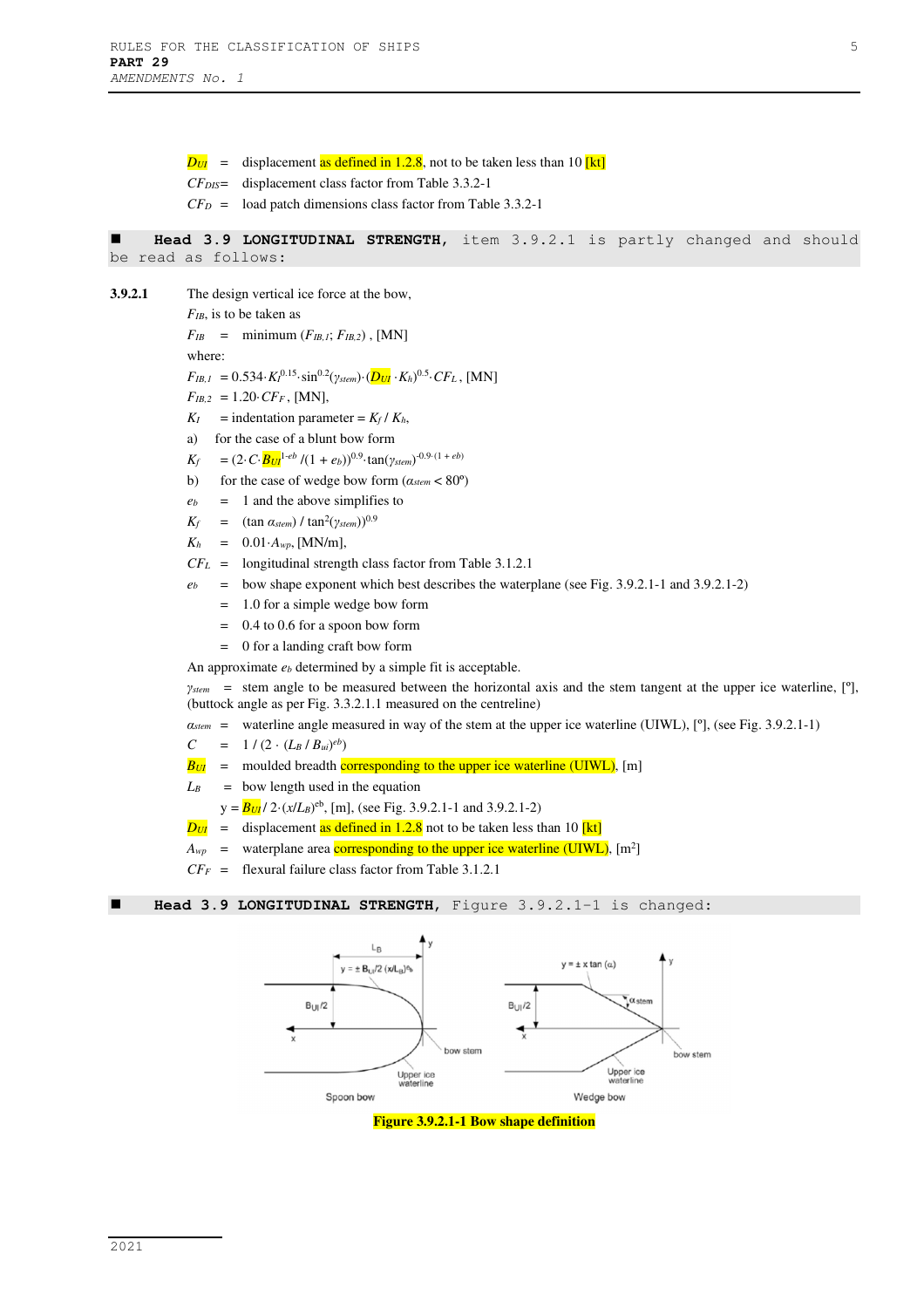$D_{UI}$  = displacement as defined in 1.2.8, not to be taken less than 10 [kt]

- *CFDIS* = displacement class factor from Table 3.3.2-1
- *CFD* = load patch dimensions class factor from Table 3.3.2-1

 **Head 3.9 LONGITUDINAL STRENGTH**, item 3.9.2.1 is partly changed and should be read as follows:

**3.9.2.1** The design vertical ice force at the bow,

*FIB*, is to be taken as

 $F_{IB}$  = minimum ( $F_{IB,I}$ ;  $F_{IB,2}$ ), [MN]

where:

 $F_{IB,I} = 0.534 \cdot K I^{0.15} \cdot \sin^{0.2}(\gamma_{stem}) \cdot (\frac{D_{UI}}{K h})^{0.5} \cdot CF_L$ , [MN]

 $F_{IB,2} = 1.20 \cdot CF_F$ , [MN],

- $K_I$  = indentation parameter =  $K_f$  /  $K_h$ ,
- a) for the case of a blunt bow form
- $K_f$  = (2·*C*· $B_{UI}$ <sup>1-*eb*</sup> /(1 + *eb*))<sup>0.9</sup>·tan(*γstem*)<sup>-0.9·(1 + *eb*)</sup>
- b) for the case of wedge bow form  $(a_{\text{stem}} < 80^{\circ})$
- $e_b = 1$  and the above simplifies to

 $K_f$  = (tan  $\alpha_{stem}$ ) / tan<sup>2</sup>( $\gamma_{stem}$ ))<sup>0.9</sup>

- $K_h = 0.01 \cdot A_{wp}$ , [MN/m],
- *CFL* = longitudinal strength class factor from Table 3.1.2.1
- $e<sub>b</sub>$  = bow shape exponent which best describes the waterplane (see Fig. 3.9.2.1-1 and 3.9.2.1-2)
	- = 1.0 for a simple wedge bow form
	- = 0.4 to 0.6 for a spoon bow form
	- = 0 for a landing craft bow form

An approximate  $e_b$  determined by a simple fit is acceptable.

*γstem* = stem angle to be measured between the horizontal axis and the stem tangent at the upper ice waterline, [º], (buttock angle as per Fig. 3.3.2.1.1 measured on the centreline)

*αstem* = waterline angle measured in way of the stem at the upper ice waterline (UIWL), [º], (see Fig. 3.9.2.1-1)

- $C = 1 / (2 \cdot (L_B / B_{ui})^{eb})$
- $B_{UI}$  = moulded breadth corresponding to the upper ice waterline (UIWL), [m]

 $L_B$  = bow length used in the equation

- $y = B_{UI} / 2 \cdot (x/L_B)^{eb}$ , [m], (see Fig. 3.9.2.1-1 and 3.9.2.1-2)
- $D_{UI}$  = displacement as defined in 1.2.8 not to be taken less than 10 **[kt]**
- $A_{wp}$  = waterplane area corresponding to the upper ice waterline (UIWL),  $[m^2]$
- $CF_F$  = flexural failure class factor from Table 3.1.2.1

**Head 3.9 LONGITUDINAL STRENGTH**, Figure 3.9.2.1-1 is changed:



**Figure 3.9.2.1-1 Bow shape definition**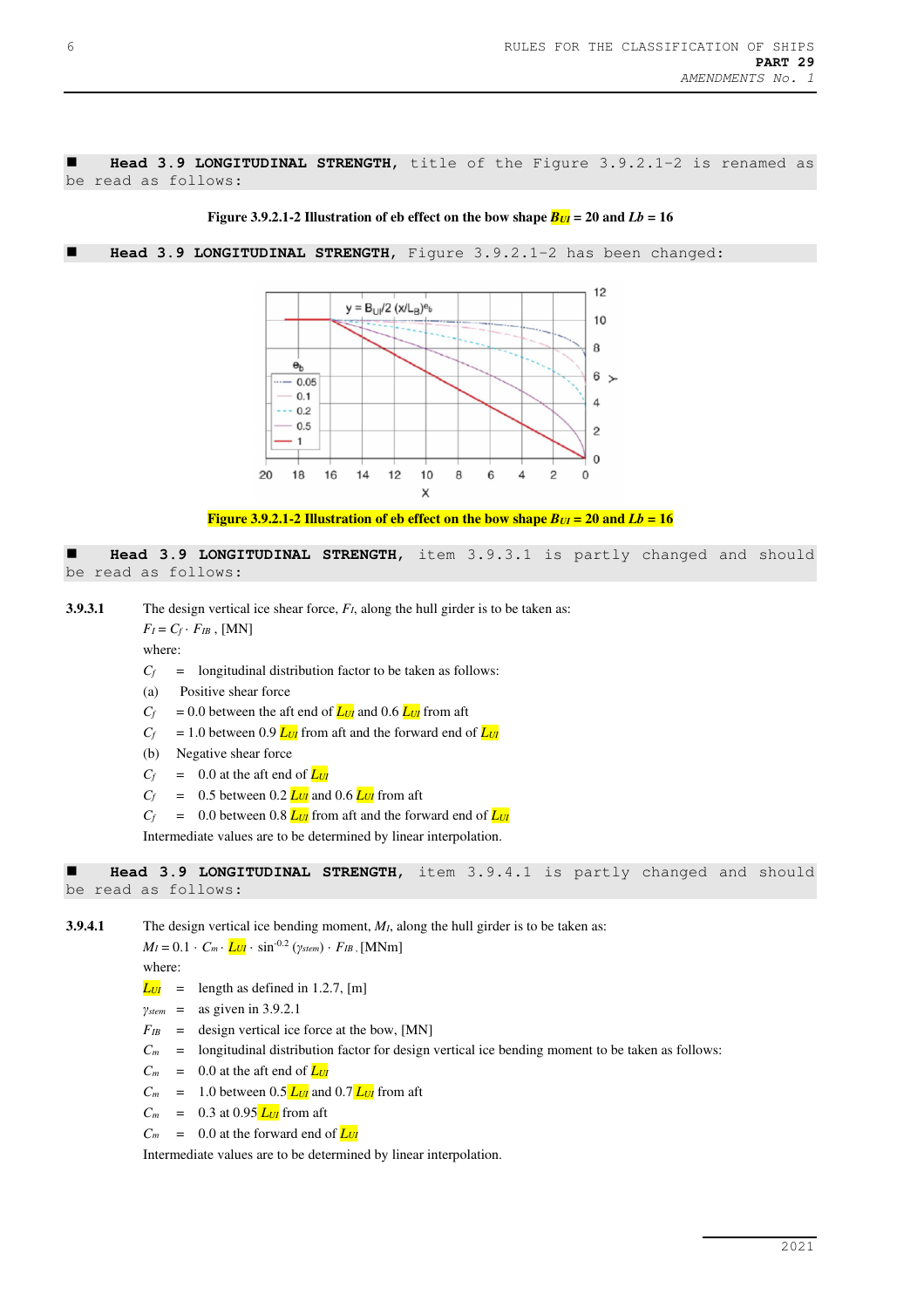**Head 3.9 LONGITUDINAL STRENGTH**, title of the Figure 3.9.2.1-2 is renamed as be read as follows:



**Head 3.9 LONGITUDINAL STRENGTH**, Figure 3.9.2.1-2 has been changed:



**Figure 3.9.2.1-2 Illustration of eb effect on the bow shape**  $B_{UI} = 20$  **and**  $Lb = 16$ 

 **Head 3.9 LONGITUDINAL STRENGTH**, item 3.9.3.1 is partly changed and should be read as follows:

**3.9.3.1** The design vertical ice shear force,  $F_I$ , along the hull girder is to be taken as:

 $F_I = C_f \cdot F_{IB}$ , [MN]

where:

- $C_f$  = longitudinal distribution factor to be taken as follows:
- (a) Positive shear force
- $C_f$  = 0.0 between the aft end of  $L_{U}$  and 0.6  $L_{U}$  from aft
- $C_f$  = 1.0 between 0.9  $L_{UI}$  from aft and the forward end of  $L_{UI}$
- (b) Negative shear force
- $C_f$  = 0.0 at the aft end of  $L_{U}$
- $C_f$  = 0.5 between 0.2  $L_{U}$  and 0.6  $L_{U}$  from aft
- $C_f$  = 0.0 between 0.8  $L_U$  from aft and the forward end of  $L_U$

Intermediate values are to be determined by linear interpolation.

```
 Head 3.9 LONGITUDINAL STRENGTH, item 3.9.4.1 is partly changed and should 
be read as follows:
```
**3.9.4.1** The design vertical ice bending moment, *MI*, along the hull girder is to be taken as:

*M*<sub>*I*</sub> = 0.1 · *C*<sub>*m*</sub> · *<i>L<sub>UI</sub>* · sin<sup>-0.2</sup> (*γstem*) · *F<sub>IB</sub>* , [MNm]

where:

- $L_{UI}$  = length as defined in 1.2.7, [m]
- *γstem* = as given in 3.9.2.1
- $F_{IB}$  = design vertical ice force at the bow, [MN]
- $C_m$  = longitudinal distribution factor for design vertical ice bending moment to be taken as follows:
- $C_m$  = 0.0 at the aft end of  $L_{U}$
- $C_m$  = 1.0 between 0.5  $L_{U}$  and 0.7  $L_{U}$  from aft
- $C_m = 0.3$  at 0.95  $L_{UI}$  from aft
- $C_m$  = 0.0 at the forward end of  $L_{U}$

Intermediate values are to be determined by linear interpolation.